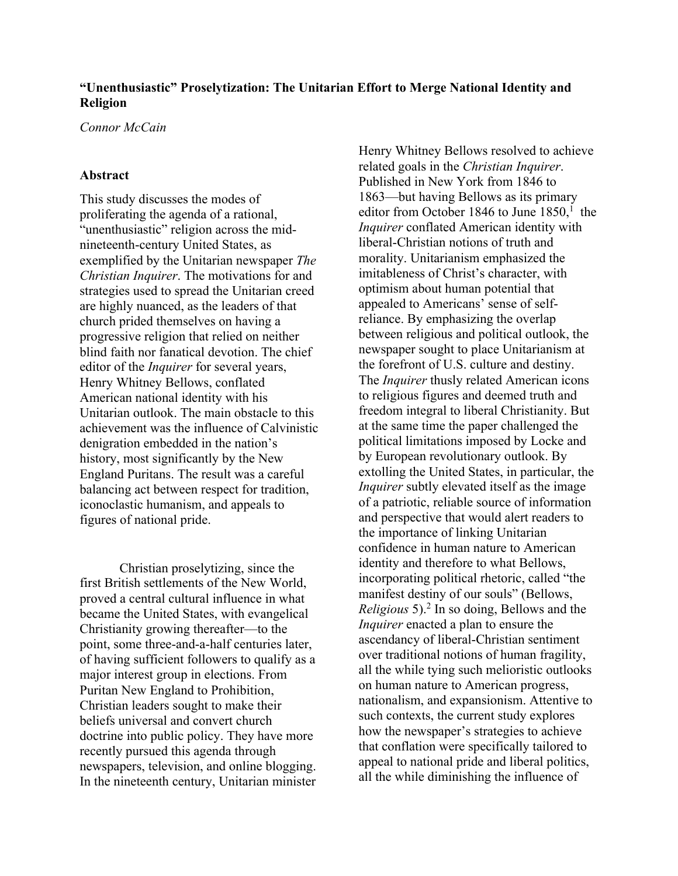## **"Unenthusiastic" Proselytization: The Unitarian Effort to Merge National Identity and Religion**

*Connor McCain*

## **Abstract**

This study discusses the modes of proliferating the agenda of a rational, "unenthusiastic" religion across the midnineteenth-century United States, as exemplified by the Unitarian newspaper *The Christian Inquirer*. The motivations for and strategies used to spread the Unitarian creed are highly nuanced, as the leaders of that church prided themselves on having a progressive religion that relied on neither blind faith nor fanatical devotion. The chief editor of the *Inquirer* for several years, Henry Whitney Bellows, conflated American national identity with his Unitarian outlook. The main obstacle to this achievement was the influence of Calvinistic denigration embedded in the nation's history, most significantly by the New England Puritans. The result was a careful balancing act between respect for tradition, iconoclastic humanism, and appeals to figures of national pride.

Christian proselytizing, since the first British settlements of the New World, proved a central cultural influence in what became the United States, with evangelical Christianity growing thereafter—to the point, some three-and-a-half centuries later, of having sufficient followers to qualify as a major interest group in elections. From Puritan New England to Prohibition, Christian leaders sought to make their beliefs universal and convert church doctrine into public policy. They have more recently pursued this agenda through newspapers, television, and online blogging. In the nineteenth century, Unitarian minister Henry Whitney Bellows resolved to achieve related goals in the *Christian Inquirer*. Published in New York from 1846 to 1863—but having Bellows as its primary editor from October 1846 to June  $1850$ ,<sup>1</sup> the *Inquirer* conflated American identity with liberal-Christian notions of truth and morality. Unitarianism emphasized the imitableness of Christ's character, with optimism about human potential that appealed to Americans' sense of selfreliance. By emphasizing the overlap between religious and political outlook, the newspaper sought to place Unitarianism at the forefront of U.S. culture and destiny. The *Inquirer* thusly related American icons to religious figures and deemed truth and freedom integral to liberal Christianity. But at the same time the paper challenged the political limitations imposed by Locke and by European revolutionary outlook. By extolling the United States, in particular, the *Inquirer* subtly elevated itself as the image of a patriotic, reliable source of information and perspective that would alert readers to the importance of linking Unitarian confidence in human nature to American identity and therefore to what Bellows, incorporating political rhetoric, called "the manifest destiny of our souls" (Bellows, *Religious* 5).2 In so doing, Bellows and the *Inquirer* enacted a plan to ensure the ascendancy of liberal-Christian sentiment over traditional notions of human fragility, all the while tying such melioristic outlooks on human nature to American progress, nationalism, and expansionism. Attentive to such contexts, the current study explores how the newspaper's strategies to achieve that conflation were specifically tailored to appeal to national pride and liberal politics, all the while diminishing the influence of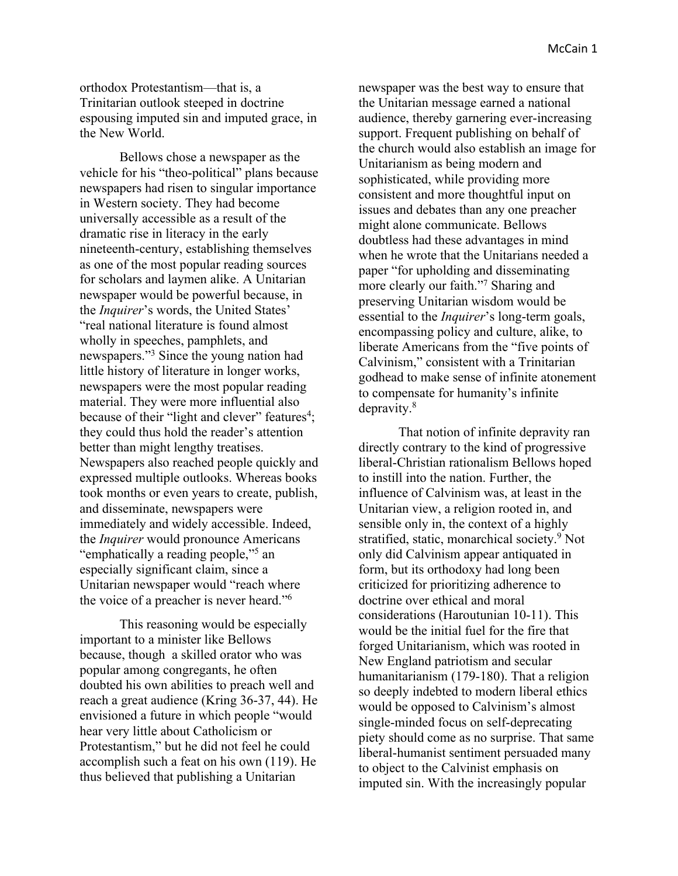orthodox Protestantism—that is, a Trinitarian outlook steeped in doctrine espousing imputed sin and imputed grace, in the New World.

Bellows chose a newspaper as the vehicle for his "theo-political" plans because newspapers had risen to singular importance in Western society. They had become universally accessible as a result of the dramatic rise in literacy in the early nineteenth-century, establishing themselves as one of the most popular reading sources for scholars and laymen alike. A Unitarian newspaper would be powerful because, in the *Inquirer*'s words, the United States' "real national literature is found almost wholly in speeches, pamphlets, and newspapers."3 Since the young nation had little history of literature in longer works, newspapers were the most popular reading material. They were more influential also because of their "light and clever" features<sup>4</sup>; they could thus hold the reader's attention better than might lengthy treatises. Newspapers also reached people quickly and expressed multiple outlooks. Whereas books took months or even years to create, publish, and disseminate, newspapers were immediately and widely accessible. Indeed, the *Inquirer* would pronounce Americans "emphatically a reading people,"5 an especially significant claim, since a Unitarian newspaper would "reach where the voice of a preacher is never heard."6

This reasoning would be especially important to a minister like Bellows because, though a skilled orator who was popular among congregants, he often doubted his own abilities to preach well and reach a great audience (Kring 36-37, 44). He envisioned a future in which people "would hear very little about Catholicism or Protestantism," but he did not feel he could accomplish such a feat on his own (119). He thus believed that publishing a Unitarian

newspaper was the best way to ensure that the Unitarian message earned a national audience, thereby garnering ever-increasing support. Frequent publishing on behalf of the church would also establish an image for Unitarianism as being modern and sophisticated, while providing more consistent and more thoughtful input on issues and debates than any one preacher might alone communicate. Bellows doubtless had these advantages in mind when he wrote that the Unitarians needed a paper "for upholding and disseminating more clearly our faith."7 Sharing and preserving Unitarian wisdom would be essential to the *Inquirer*'s long-term goals, encompassing policy and culture, alike, to liberate Americans from the "five points of Calvinism," consistent with a Trinitarian godhead to make sense of infinite atonement to compensate for humanity's infinite depravity.8

That notion of infinite depravity ran directly contrary to the kind of progressive liberal-Christian rationalism Bellows hoped to instill into the nation. Further, the influence of Calvinism was, at least in the Unitarian view, a religion rooted in, and sensible only in, the context of a highly stratified, static, monarchical society.<sup>9</sup> Not only did Calvinism appear antiquated in form, but its orthodoxy had long been criticized for prioritizing adherence to doctrine over ethical and moral considerations (Haroutunian 10-11). This would be the initial fuel for the fire that forged Unitarianism, which was rooted in New England patriotism and secular humanitarianism (179-180). That a religion so deeply indebted to modern liberal ethics would be opposed to Calvinism's almost single-minded focus on self-deprecating piety should come as no surprise. That same liberal-humanist sentiment persuaded many to object to the Calvinist emphasis on imputed sin. With the increasingly popular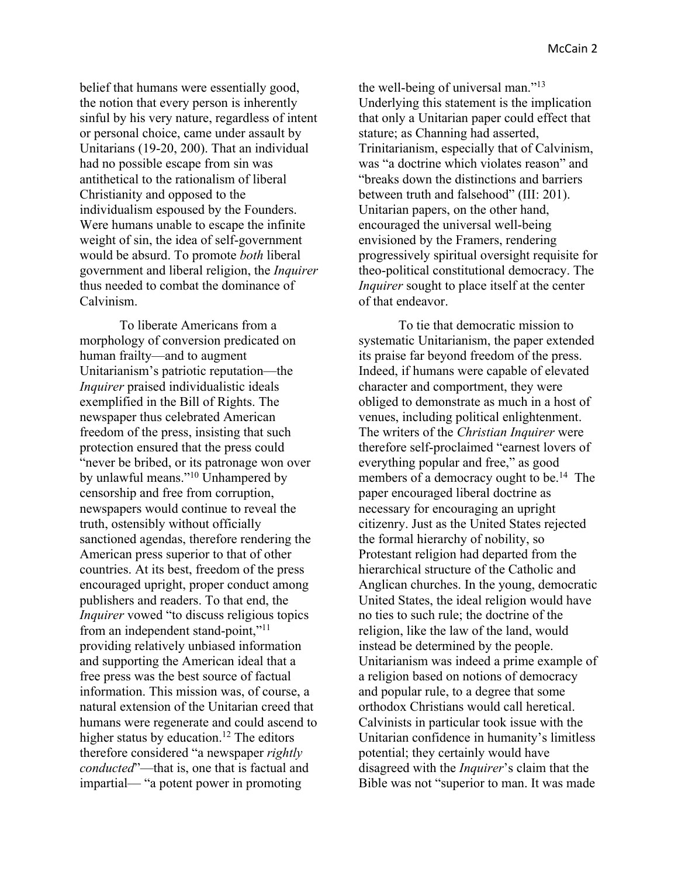belief that humans were essentially good, the notion that every person is inherently sinful by his very nature, regardless of intent or personal choice, came under assault by Unitarians (19-20, 200). That an individual had no possible escape from sin was antithetical to the rationalism of liberal Christianity and opposed to the individualism espoused by the Founders. Were humans unable to escape the infinite weight of sin, the idea of self-government would be absurd. To promote *both* liberal government and liberal religion, the *Inquirer* thus needed to combat the dominance of Calvinism.

To liberate Americans from a morphology of conversion predicated on human frailty—and to augment Unitarianism's patriotic reputation—the *Inquirer* praised individualistic ideals exemplified in the Bill of Rights. The newspaper thus celebrated American freedom of the press, insisting that such protection ensured that the press could "never be bribed, or its patronage won over by unlawful means."10 Unhampered by censorship and free from corruption, newspapers would continue to reveal the truth, ostensibly without officially sanctioned agendas, therefore rendering the American press superior to that of other countries. At its best, freedom of the press encouraged upright, proper conduct among publishers and readers. To that end, the *Inquirer* vowed "to discuss religious topics from an independent stand-point,"<sup>11</sup> providing relatively unbiased information and supporting the American ideal that a free press was the best source of factual information. This mission was, of course, a natural extension of the Unitarian creed that humans were regenerate and could ascend to higher status by education.<sup>12</sup> The editors therefore considered "a newspaper *rightly conducted*"—that is, one that is factual and impartial— "a potent power in promoting

the well-being of universal man."13 Underlying this statement is the implication that only a Unitarian paper could effect that stature; as Channing had asserted, Trinitarianism, especially that of Calvinism, was "a doctrine which violates reason" and "breaks down the distinctions and barriers between truth and falsehood" (III: 201). Unitarian papers, on the other hand, encouraged the universal well-being envisioned by the Framers, rendering progressively spiritual oversight requisite for theo-political constitutional democracy. The *Inquirer* sought to place itself at the center of that endeavor.

To tie that democratic mission to systematic Unitarianism, the paper extended its praise far beyond freedom of the press. Indeed, if humans were capable of elevated character and comportment, they were obliged to demonstrate as much in a host of venues, including political enlightenment. The writers of the *Christian Inquirer* were therefore self-proclaimed "earnest lovers of everything popular and free," as good members of a democracy ought to be.<sup>14</sup> The paper encouraged liberal doctrine as necessary for encouraging an upright citizenry. Just as the United States rejected the formal hierarchy of nobility, so Protestant religion had departed from the hierarchical structure of the Catholic and Anglican churches. In the young, democratic United States, the ideal religion would have no ties to such rule; the doctrine of the religion, like the law of the land, would instead be determined by the people. Unitarianism was indeed a prime example of a religion based on notions of democracy and popular rule, to a degree that some orthodox Christians would call heretical. Calvinists in particular took issue with the Unitarian confidence in humanity's limitless potential; they certainly would have disagreed with the *Inquirer*'s claim that the Bible was not "superior to man. It was made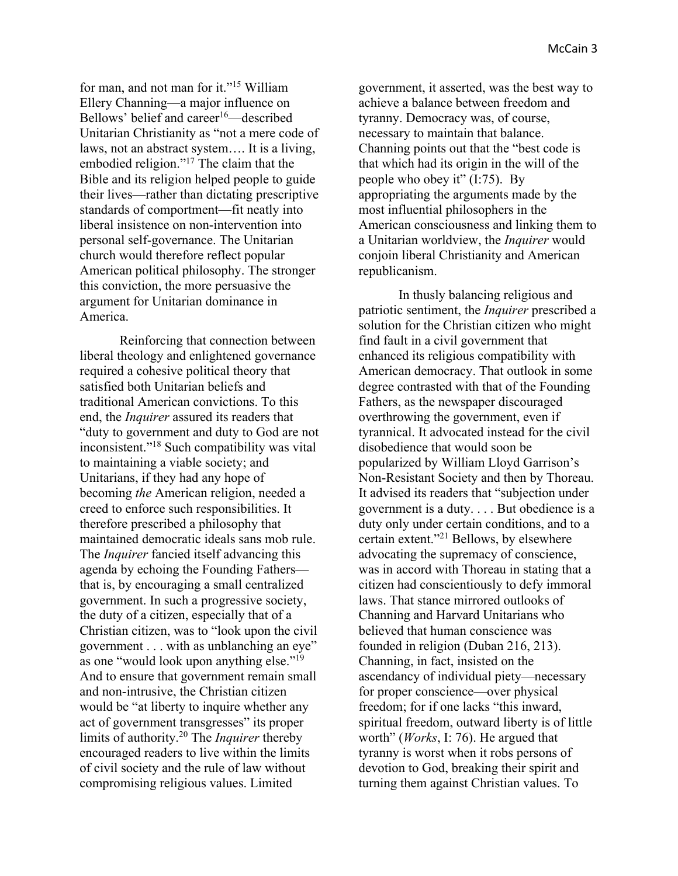for man, and not man for it."15 William Ellery Channing—a major influence on Bellows' belief and career $16$ —described Unitarian Christianity as "not a mere code of laws, not an abstract system…. It is a living, embodied religion."17 The claim that the Bible and its religion helped people to guide their lives—rather than dictating prescriptive standards of comportment—fit neatly into liberal insistence on non-intervention into personal self-governance. The Unitarian church would therefore reflect popular American political philosophy. The stronger this conviction, the more persuasive the argument for Unitarian dominance in America.

Reinforcing that connection between liberal theology and enlightened governance required a cohesive political theory that satisfied both Unitarian beliefs and traditional American convictions. To this end, the *Inquirer* assured its readers that "duty to government and duty to God are not inconsistent."18 Such compatibility was vital to maintaining a viable society; and Unitarians, if they had any hope of becoming *the* American religion, needed a creed to enforce such responsibilities. It therefore prescribed a philosophy that maintained democratic ideals sans mob rule. The *Inquirer* fancied itself advancing this agenda by echoing the Founding Fathers that is, by encouraging a small centralized government. In such a progressive society, the duty of a citizen, especially that of a Christian citizen, was to "look upon the civil government . . . with as unblanching an eye" as one "would look upon anything else."19 And to ensure that government remain small and non-intrusive, the Christian citizen would be "at liberty to inquire whether any act of government transgresses" its proper limits of authority.20 The *Inquirer* thereby encouraged readers to live within the limits of civil society and the rule of law without compromising religious values. Limited

government, it asserted, was the best way to achieve a balance between freedom and tyranny. Democracy was, of course, necessary to maintain that balance. Channing points out that the "best code is that which had its origin in the will of the people who obey it" (I:75). By appropriating the arguments made by the most influential philosophers in the American consciousness and linking them to a Unitarian worldview, the *Inquirer* would conjoin liberal Christianity and American republicanism.

In thusly balancing religious and patriotic sentiment, the *Inquirer* prescribed a solution for the Christian citizen who might find fault in a civil government that enhanced its religious compatibility with American democracy. That outlook in some degree contrasted with that of the Founding Fathers, as the newspaper discouraged overthrowing the government, even if tyrannical. It advocated instead for the civil disobedience that would soon be popularized by William Lloyd Garrison's Non-Resistant Society and then by Thoreau. It advised its readers that "subjection under government is a duty. . . . But obedience is a duty only under certain conditions, and to a certain extent."21 Bellows, by elsewhere advocating the supremacy of conscience, was in accord with Thoreau in stating that a citizen had conscientiously to defy immoral laws. That stance mirrored outlooks of Channing and Harvard Unitarians who believed that human conscience was founded in religion (Duban 216, 213). Channing, in fact, insisted on the ascendancy of individual piety—necessary for proper conscience—over physical freedom; for if one lacks "this inward, spiritual freedom, outward liberty is of little worth" (*Works*, I: 76). He argued that tyranny is worst when it robs persons of devotion to God, breaking their spirit and turning them against Christian values. To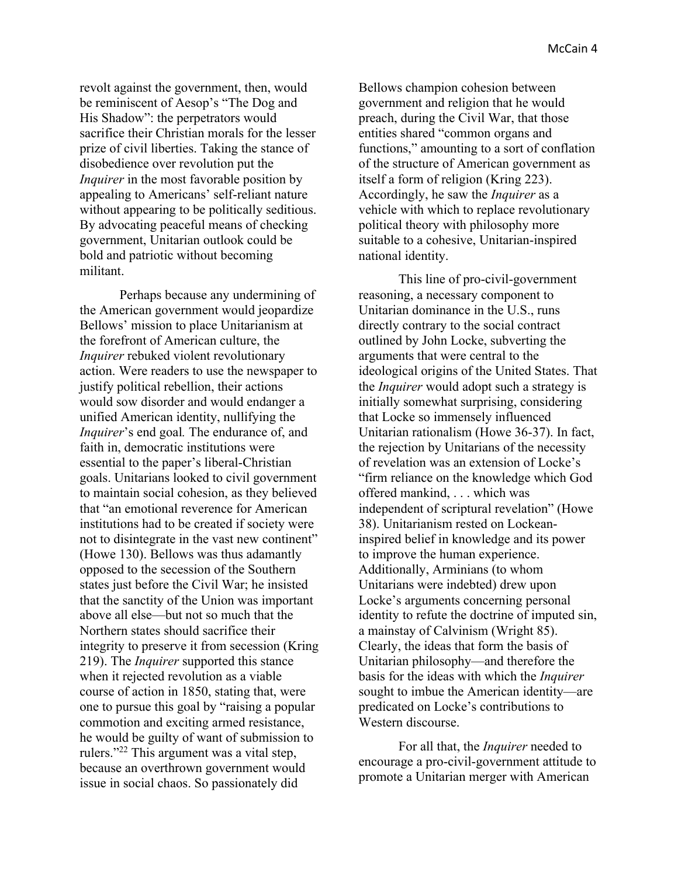revolt against the government, then, would be reminiscent of Aesop's "The Dog and His Shadow": the perpetrators would sacrifice their Christian morals for the lesser prize of civil liberties. Taking the stance of disobedience over revolution put the *Inquirer* in the most favorable position by appealing to Americans' self-reliant nature without appearing to be politically seditious. By advocating peaceful means of checking government, Unitarian outlook could be bold and patriotic without becoming militant.

Perhaps because any undermining of the American government would jeopardize Bellows' mission to place Unitarianism at the forefront of American culture, the *Inquirer* rebuked violent revolutionary action. Were readers to use the newspaper to justify political rebellion, their actions would sow disorder and would endanger a unified American identity, nullifying the *Inquirer*'s end goal*.* The endurance of, and faith in, democratic institutions were essential to the paper's liberal-Christian goals. Unitarians looked to civil government to maintain social cohesion, as they believed that "an emotional reverence for American institutions had to be created if society were not to disintegrate in the vast new continent" (Howe 130). Bellows was thus adamantly opposed to the secession of the Southern states just before the Civil War; he insisted that the sanctity of the Union was important above all else—but not so much that the Northern states should sacrifice their integrity to preserve it from secession (Kring 219). The *Inquirer* supported this stance when it rejected revolution as a viable course of action in 1850, stating that, were one to pursue this goal by "raising a popular commotion and exciting armed resistance, he would be guilty of want of submission to rulers."22 This argument was a vital step, because an overthrown government would issue in social chaos. So passionately did

Bellows champion cohesion between government and religion that he would preach, during the Civil War, that those entities shared "common organs and functions," amounting to a sort of conflation of the structure of American government as itself a form of religion (Kring 223). Accordingly, he saw the *Inquirer* as a vehicle with which to replace revolutionary political theory with philosophy more suitable to a cohesive, Unitarian-inspired national identity.

This line of pro-civil-government reasoning, a necessary component to Unitarian dominance in the U.S., runs directly contrary to the social contract outlined by John Locke, subverting the arguments that were central to the ideological origins of the United States. That the *Inquirer* would adopt such a strategy is initially somewhat surprising, considering that Locke so immensely influenced Unitarian rationalism (Howe 36-37). In fact, the rejection by Unitarians of the necessity of revelation was an extension of Locke's "firm reliance on the knowledge which God offered mankind, . . . which was independent of scriptural revelation" (Howe 38). Unitarianism rested on Lockeaninspired belief in knowledge and its power to improve the human experience. Additionally, Arminians (to whom Unitarians were indebted) drew upon Locke's arguments concerning personal identity to refute the doctrine of imputed sin, a mainstay of Calvinism (Wright 85). Clearly, the ideas that form the basis of Unitarian philosophy—and therefore the basis for the ideas with which the *Inquirer* sought to imbue the American identity—are predicated on Locke's contributions to Western discourse.

For all that, the *Inquirer* needed to encourage a pro-civil-government attitude to promote a Unitarian merger with American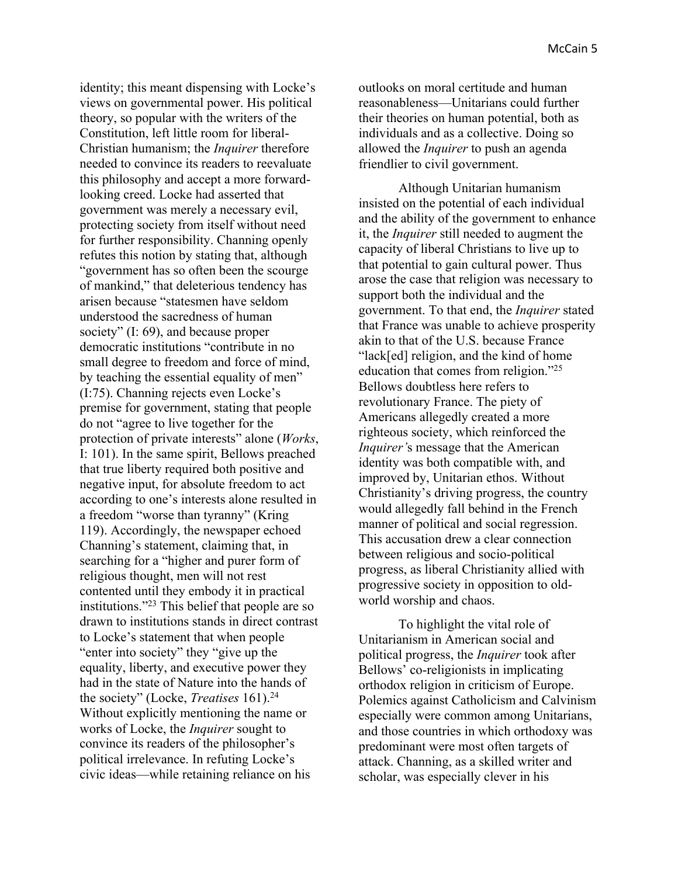identity; this meant dispensing with Locke's views on governmental power. His political theory, so popular with the writers of the Constitution, left little room for liberal-Christian humanism; the *Inquirer* therefore needed to convince its readers to reevaluate this philosophy and accept a more forwardlooking creed. Locke had asserted that government was merely a necessary evil, protecting society from itself without need for further responsibility. Channing openly refutes this notion by stating that, although "government has so often been the scourge of mankind," that deleterious tendency has arisen because "statesmen have seldom understood the sacredness of human society" (I: 69), and because proper democratic institutions "contribute in no small degree to freedom and force of mind, by teaching the essential equality of men" (I:75). Channing rejects even Locke's premise for government, stating that people do not "agree to live together for the protection of private interests" alone (*Works*, I: 101). In the same spirit, Bellows preached that true liberty required both positive and negative input, for absolute freedom to act according to one's interests alone resulted in a freedom "worse than tyranny" (Kring 119). Accordingly, the newspaper echoed Channing's statement, claiming that, in searching for a "higher and purer form of religious thought, men will not rest contented until they embody it in practical institutions."23 This belief that people are so drawn to institutions stands in direct contrast to Locke's statement that when people "enter into society" they "give up the equality, liberty, and executive power they had in the state of Nature into the hands of the society" (Locke, *Treatises* 161).24 Without explicitly mentioning the name or works of Locke, the *Inquirer* sought to convince its readers of the philosopher's political irrelevance. In refuting Locke's civic ideas—while retaining reliance on his

outlooks on moral certitude and human reasonableness—Unitarians could further their theories on human potential, both as individuals and as a collective. Doing so allowed the *Inquirer* to push an agenda friendlier to civil government.

Although Unitarian humanism insisted on the potential of each individual and the ability of the government to enhance it, the *Inquirer* still needed to augment the capacity of liberal Christians to live up to that potential to gain cultural power. Thus arose the case that religion was necessary to support both the individual and the government. To that end, the *Inquirer* stated that France was unable to achieve prosperity akin to that of the U.S. because France "lack[ed] religion, and the kind of home education that comes from religion."25 Bellows doubtless here refers to revolutionary France. The piety of Americans allegedly created a more righteous society, which reinforced the *Inquirer'*s message that the American identity was both compatible with, and improved by, Unitarian ethos. Without Christianity's driving progress, the country would allegedly fall behind in the French manner of political and social regression. This accusation drew a clear connection between religious and socio-political progress, as liberal Christianity allied with progressive society in opposition to oldworld worship and chaos.

To highlight the vital role of Unitarianism in American social and political progress, the *Inquirer* took after Bellows' co-religionists in implicating orthodox religion in criticism of Europe. Polemics against Catholicism and Calvinism especially were common among Unitarians, and those countries in which orthodoxy was predominant were most often targets of attack. Channing, as a skilled writer and scholar, was especially clever in his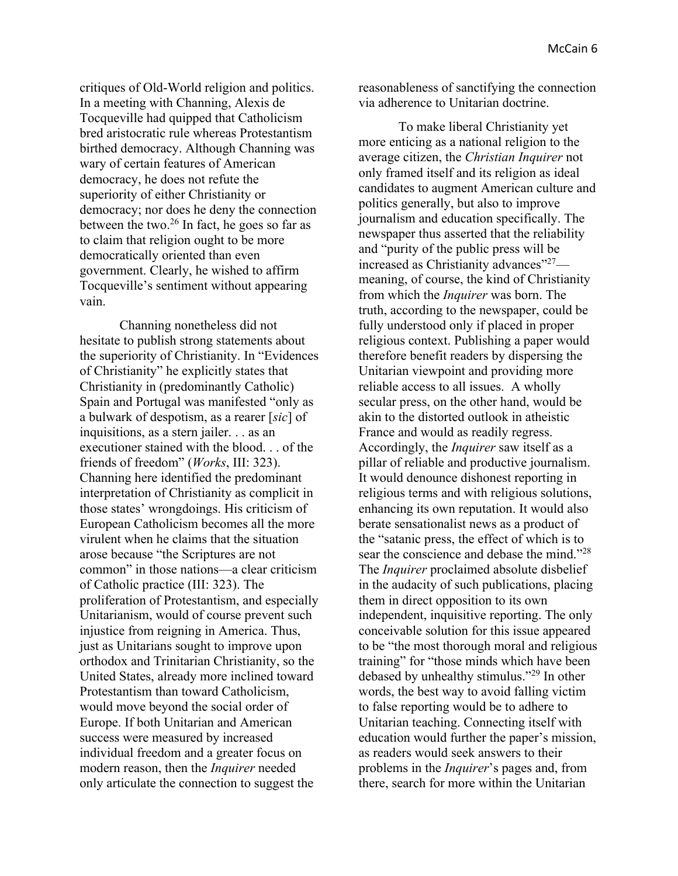critiques of Old-World religion and politics. In a meeting with Channing, Alexis de Tocqueville had quipped that Catholicism bred aristocratic rule whereas Protestantism birthed democracy. Although Channing was wary of certain features of American democracy, he does not refute the superiority of either Christianity or democracy; nor does he deny the connection between the two.26 In fact, he goes so far as to claim that religion ought to be more democratically oriented than even government. Clearly, he wished to affirm Tocqueville's sentiment without appearing vain.

Channing nonetheless did not hesitate to publish strong statements about the superiority of Christianity. In "Evidences of Christianity" he explicitly states that Christianity in (predominantly Catholic) Spain and Portugal was manifested "only as a bulwark of despotism, as a rearer [*sic*] of inquisitions, as a stern jailer. . . as an executioner stained with the blood. . . of the friends of freedom" (*Works*, III: 323). Channing here identified the predominant interpretation of Christianity as complicit in those states' wrongdoings. His criticism of European Catholicism becomes all the more virulent when he claims that the situation arose because "the Scriptures are not common" in those nations—a clear criticism of Catholic practice (III: 323). The proliferation of Protestantism, and especially Unitarianism, would of course prevent such injustice from reigning in America. Thus, just as Unitarians sought to improve upon orthodox and Trinitarian Christianity, so the United States, already more inclined toward Protestantism than toward Catholicism, would move beyond the social order of Europe. If both Unitarian and American success were measured by increased individual freedom and a greater focus on modern reason, then the *Inquirer* needed only articulate the connection to suggest the

reasonableness of sanctifying the connection via adherence to Unitarian doctrine.

To make liberal Christianity yet more enticing as a national religion to the average citizen, the *Christian Inquirer* not only framed itself and its religion as ideal candidates to augment American culture and politics generally, but also to improve journalism and education specifically. The newspaper thus asserted that the reliability and "purity of the public press will be increased as Christianity advances"27 meaning, of course, the kind of Christianity from which the *Inquirer* was born. The truth, according to the newspaper, could be fully understood only if placed in proper religious context. Publishing a paper would therefore benefit readers by dispersing the Unitarian viewpoint and providing more reliable access to all issues. A wholly secular press, on the other hand, would be akin to the distorted outlook in atheistic France and would as readily regress. Accordingly, the *Inquirer* saw itself as a pillar of reliable and productive journalism. It would denounce dishonest reporting in religious terms and with religious solutions, enhancing its own reputation. It would also berate sensationalist news as a product of the "satanic press, the effect of which is to sear the conscience and debase the mind."<sup>28</sup> The *Inquirer* proclaimed absolute disbelief in the audacity of such publications, placing them in direct opposition to its own independent, inquisitive reporting. The only conceivable solution for this issue appeared to be "the most thorough moral and religious training" for "those minds which have been debased by unhealthy stimulus."29 In other words, the best way to avoid falling victim to false reporting would be to adhere to Unitarian teaching. Connecting itself with education would further the paper's mission, as readers would seek answers to their problems in the *Inquirer*'s pages and, from there, search for more within the Unitarian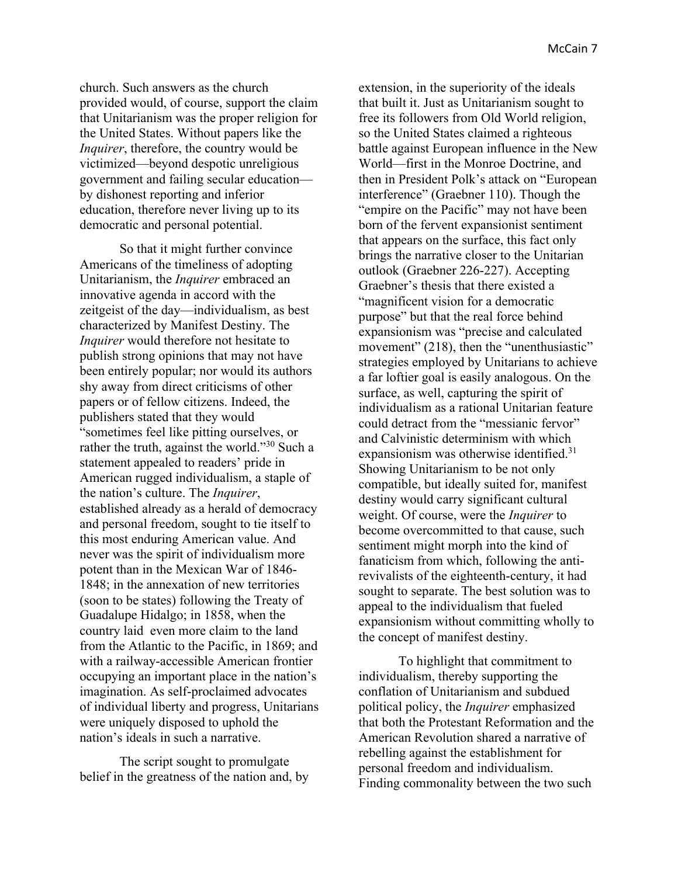church. Such answers as the church provided would, of course, support the claim that Unitarianism was the proper religion for the United States. Without papers like the *Inquirer*, therefore, the country would be victimized—beyond despotic unreligious government and failing secular education by dishonest reporting and inferior education, therefore never living up to its democratic and personal potential.

So that it might further convince Americans of the timeliness of adopting Unitarianism, the *Inquirer* embraced an innovative agenda in accord with the zeitgeist of the day—individualism, as best characterized by Manifest Destiny. The *Inquirer* would therefore not hesitate to publish strong opinions that may not have been entirely popular; nor would its authors shy away from direct criticisms of other papers or of fellow citizens. Indeed, the publishers stated that they would "sometimes feel like pitting ourselves, or rather the truth, against the world."30 Such a statement appealed to readers' pride in American rugged individualism, a staple of the nation's culture. The *Inquirer*, established already as a herald of democracy and personal freedom, sought to tie itself to this most enduring American value. And never was the spirit of individualism more potent than in the Mexican War of 1846- 1848; in the annexation of new territories (soon to be states) following the Treaty of Guadalupe Hidalgo; in 1858, when the country laid even more claim to the land from the Atlantic to the Pacific, in 1869; and with a railway-accessible American frontier occupying an important place in the nation's imagination. As self-proclaimed advocates of individual liberty and progress, Unitarians were uniquely disposed to uphold the nation's ideals in such a narrative.

The script sought to promulgate belief in the greatness of the nation and, by extension, in the superiority of the ideals that built it. Just as Unitarianism sought to free its followers from Old World religion, so the United States claimed a righteous battle against European influence in the New World—first in the Monroe Doctrine, and then in President Polk's attack on "European interference" (Graebner 110). Though the "empire on the Pacific" may not have been born of the fervent expansionist sentiment that appears on the surface, this fact only brings the narrative closer to the Unitarian outlook (Graebner 226-227). Accepting Graebner's thesis that there existed a "magnificent vision for a democratic purpose" but that the real force behind expansionism was "precise and calculated movement" (218), then the "unenthusiastic" strategies employed by Unitarians to achieve a far loftier goal is easily analogous. On the surface, as well, capturing the spirit of individualism as a rational Unitarian feature could detract from the "messianic fervor" and Calvinistic determinism with which expansionism was otherwise identified.<sup>31</sup> Showing Unitarianism to be not only compatible, but ideally suited for, manifest destiny would carry significant cultural weight. Of course, were the *Inquirer* to become overcommitted to that cause, such sentiment might morph into the kind of fanaticism from which, following the antirevivalists of the eighteenth-century, it had sought to separate. The best solution was to appeal to the individualism that fueled expansionism without committing wholly to the concept of manifest destiny.

To highlight that commitment to individualism, thereby supporting the conflation of Unitarianism and subdued political policy, the *Inquirer* emphasized that both the Protestant Reformation and the American Revolution shared a narrative of rebelling against the establishment for personal freedom and individualism. Finding commonality between the two such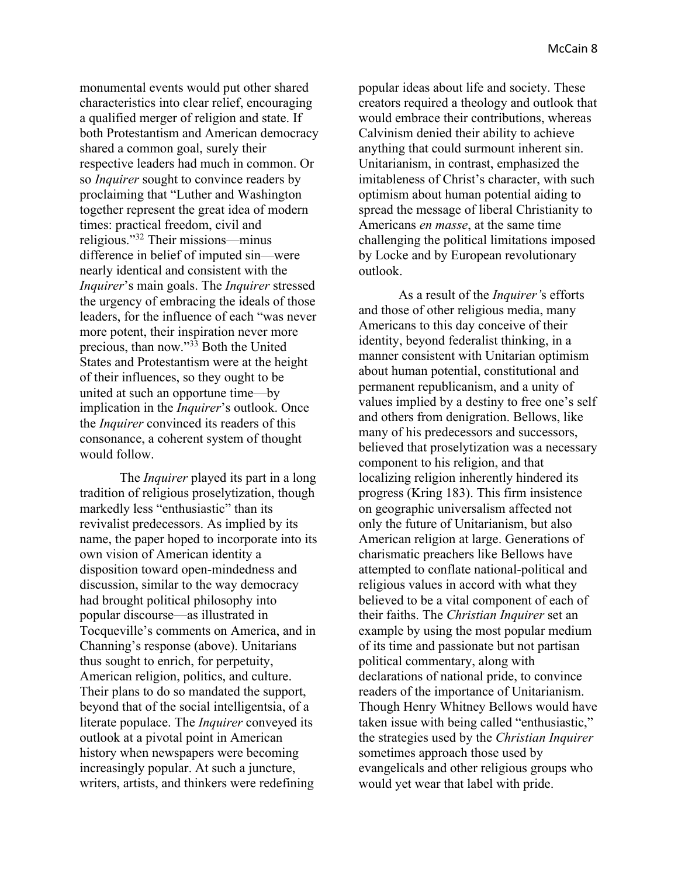monumental events would put other shared characteristics into clear relief, encouraging a qualified merger of religion and state. If both Protestantism and American democracy shared a common goal, surely their respective leaders had much in common. Or so *Inquirer* sought to convince readers by proclaiming that "Luther and Washington together represent the great idea of modern times: practical freedom, civil and religious."32 Their missions—minus difference in belief of imputed sin—were nearly identical and consistent with the *Inquirer*'s main goals. The *Inquirer* stressed the urgency of embracing the ideals of those leaders, for the influence of each "was never more potent, their inspiration never more precious, than now."33 Both the United States and Protestantism were at the height of their influences, so they ought to be united at such an opportune time—by implication in the *Inquirer*'s outlook. Once the *Inquirer* convinced its readers of this consonance, a coherent system of thought would follow.

The *Inquirer* played its part in a long tradition of religious proselytization, though markedly less "enthusiastic" than its revivalist predecessors. As implied by its name, the paper hoped to incorporate into its own vision of American identity a disposition toward open-mindedness and discussion, similar to the way democracy had brought political philosophy into popular discourse—as illustrated in Tocqueville's comments on America, and in Channing's response (above). Unitarians thus sought to enrich, for perpetuity, American religion, politics, and culture. Their plans to do so mandated the support, beyond that of the social intelligentsia, of a literate populace. The *Inquirer* conveyed its outlook at a pivotal point in American history when newspapers were becoming increasingly popular. At such a juncture, writers, artists, and thinkers were redefining

popular ideas about life and society. These creators required a theology and outlook that would embrace their contributions, whereas Calvinism denied their ability to achieve anything that could surmount inherent sin. Unitarianism, in contrast, emphasized the imitableness of Christ's character, with such optimism about human potential aiding to spread the message of liberal Christianity to Americans *en masse*, at the same time challenging the political limitations imposed by Locke and by European revolutionary outlook.

As a result of the *Inquirer'*s efforts and those of other religious media, many Americans to this day conceive of their identity, beyond federalist thinking, in a manner consistent with Unitarian optimism about human potential, constitutional and permanent republicanism, and a unity of values implied by a destiny to free one's self and others from denigration. Bellows, like many of his predecessors and successors, believed that proselytization was a necessary component to his religion, and that localizing religion inherently hindered its progress (Kring 183). This firm insistence on geographic universalism affected not only the future of Unitarianism, but also American religion at large. Generations of charismatic preachers like Bellows have attempted to conflate national-political and religious values in accord with what they believed to be a vital component of each of their faiths. The *Christian Inquirer* set an example by using the most popular medium of its time and passionate but not partisan political commentary, along with declarations of national pride, to convince readers of the importance of Unitarianism. Though Henry Whitney Bellows would have taken issue with being called "enthusiastic," the strategies used by the *Christian Inquirer* sometimes approach those used by evangelicals and other religious groups who would yet wear that label with pride.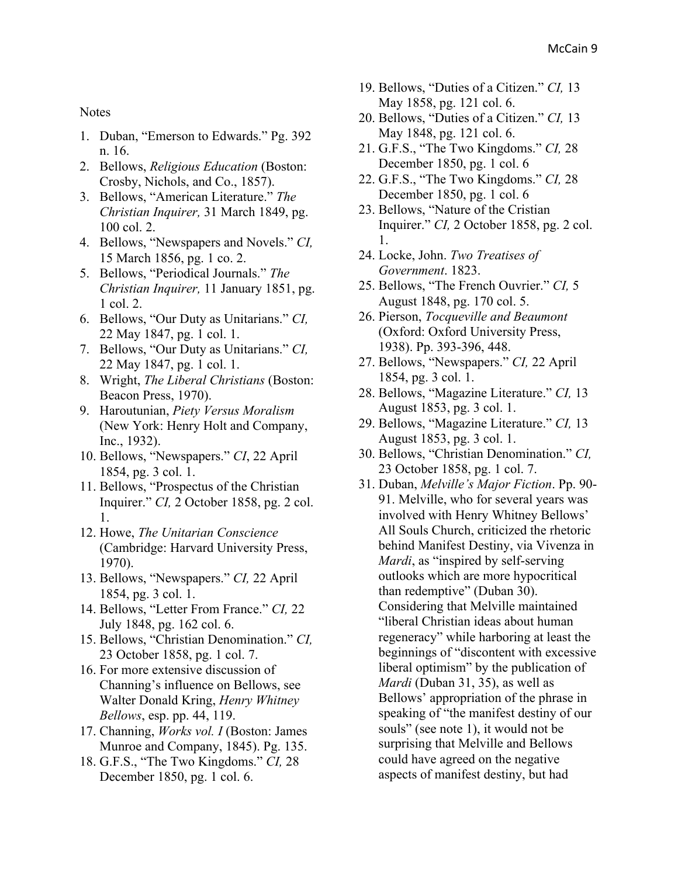## **Notes**

- 1. Duban, "Emerson to Edwards." Pg. 392 n. 16.
- 2. Bellows, *Religious Education* (Boston: Crosby, Nichols, and Co., 1857).
- 3. Bellows, "American Literature." *The Christian Inquirer,* 31 March 1849, pg. 100 col. 2.
- 4. Bellows, "Newspapers and Novels." *CI,* 15 March 1856, pg. 1 co. 2.
- 5. Bellows, "Periodical Journals." *The Christian Inquirer,* 11 January 1851, pg. 1 col. 2.
- 6. Bellows, "Our Duty as Unitarians." *CI,* 22 May 1847, pg. 1 col. 1.
- 7. Bellows, "Our Duty as Unitarians." *CI,* 22 May 1847, pg. 1 col. 1.
- 8. Wright, *The Liberal Christians* (Boston: Beacon Press, 1970).
- 9. Haroutunian, *Piety Versus Moralism* (New York: Henry Holt and Company, Inc., 1932).
- 10. Bellows, "Newspapers." *CI*, 22 April 1854, pg. 3 col. 1.
- 11. Bellows, "Prospectus of the Christian Inquirer." *CI,* 2 October 1858, pg. 2 col. 1.
- 12. Howe, *The Unitarian Conscience* (Cambridge: Harvard University Press, 1970).
- 13. Bellows, "Newspapers." *CI,* 22 April 1854, pg. 3 col. 1.
- 14. Bellows, "Letter From France." *CI,* 22 July 1848, pg. 162 col. 6.
- 15. Bellows, "Christian Denomination." *CI,* 23 October 1858, pg. 1 col. 7.
- 16. For more extensive discussion of Channing's influence on Bellows, see Walter Donald Kring, *Henry Whitney Bellows*, esp. pp. 44, 119.
- 17. Channing, *Works vol. I* (Boston: James Munroe and Company, 1845). Pg. 135.
- 18. G.F.S., "The Two Kingdoms." *CI,* 28 December 1850, pg. 1 col. 6.
- 19. Bellows, "Duties of a Citizen." *CI,* 13 May 1858, pg. 121 col. 6.
- 20. Bellows, "Duties of a Citizen." *CI,* 13 May 1848, pg. 121 col. 6.
- 21. G.F.S., "The Two Kingdoms." *CI,* 28 December 1850, pg. 1 col. 6
- 22. G.F.S., "The Two Kingdoms." *CI,* 28 December 1850, pg. 1 col. 6
- 23. Bellows, "Nature of the Cristian Inquirer." *CI,* 2 October 1858, pg. 2 col. 1.
- 24. Locke, John. *Two Treatises of Government*. 1823.
- 25. Bellows, "The French Ouvrier." *CI,* 5 August 1848, pg. 170 col. 5.
- 26. Pierson, *Tocqueville and Beaumont* (Oxford: Oxford University Press, 1938). Pp. 393-396, 448.
- 27. Bellows, "Newspapers." *CI,* 22 April 1854, pg. 3 col. 1.
- 28. Bellows, "Magazine Literature." *CI,* 13 August 1853, pg. 3 col. 1.
- 29. Bellows, "Magazine Literature." *CI,* 13 August 1853, pg. 3 col. 1.
- 30. Bellows, "Christian Denomination." *CI,* 23 October 1858, pg. 1 col. 7.
- 31. Duban, *Melville's Major Fiction*. Pp. 90- 91. Melville, who for several years was involved with Henry Whitney Bellows' All Souls Church, criticized the rhetoric behind Manifest Destiny, via Vivenza in *Mardi*, as "inspired by self-serving outlooks which are more hypocritical than redemptive" (Duban 30). Considering that Melville maintained "liberal Christian ideas about human regeneracy" while harboring at least the beginnings of "discontent with excessive liberal optimism" by the publication of *Mardi* (Duban 31, 35), as well as Bellows' appropriation of the phrase in speaking of "the manifest destiny of our souls" (see note 1), it would not be surprising that Melville and Bellows could have agreed on the negative aspects of manifest destiny, but had